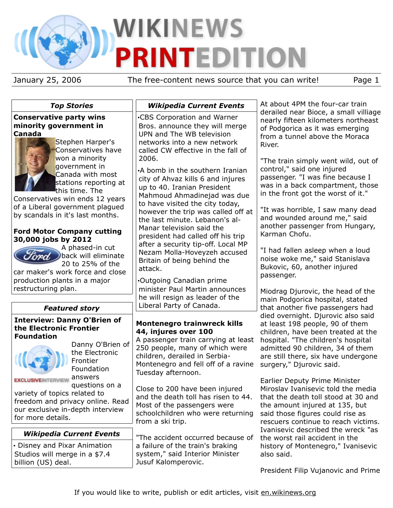# WIKINEWS NTEDITION P

January 25, 2006 The free-content news source that you can write! Page 1

| <b>Top Stories</b>                                                                                                                                                                                                                                                                                                                                                                                                                                                                                                             | <b>Wikipedia Current Events</b>                                                                                                                                                                                                                                                                                                                                                                                                                                                                                                                                                                                                                 | At about 4PM the four-car train                                                                                                                                                                                                                                                                                                                                                                                                                                                                                                                                                              |  |
|--------------------------------------------------------------------------------------------------------------------------------------------------------------------------------------------------------------------------------------------------------------------------------------------------------------------------------------------------------------------------------------------------------------------------------------------------------------------------------------------------------------------------------|-------------------------------------------------------------------------------------------------------------------------------------------------------------------------------------------------------------------------------------------------------------------------------------------------------------------------------------------------------------------------------------------------------------------------------------------------------------------------------------------------------------------------------------------------------------------------------------------------------------------------------------------------|----------------------------------------------------------------------------------------------------------------------------------------------------------------------------------------------------------------------------------------------------------------------------------------------------------------------------------------------------------------------------------------------------------------------------------------------------------------------------------------------------------------------------------------------------------------------------------------------|--|
| <b>Conservative party wins</b><br>minority government in<br>Canada<br>Stephen Harper's<br>Conservatives have<br>won a minority<br>government in<br>Canada with most<br>stations reporting at<br><b>t</b> his time. The<br>Conservatives win ends 12 years<br>of a Liberal government plagued<br>by scandals in it's last months.<br><b>Ford Motor Company cutting</b><br>30,000 jobs by 2012<br>A phased-in cut<br>back will eliminate<br>20 to 25% of the<br>car maker's work force and close<br>production plants in a major | .CBS Corporation and Warner<br>Bros. announce they will merge<br>UPN and The WB television<br>networks into a new network<br>called CW effective in the fall of<br>2006.<br>•A bomb in the southern Iranian<br>city of Ahvaz kills 6 and injures<br>up to 40. Iranian President<br>Mahmoud Ahmadinejad was due<br>to have visited the city today,<br>however the trip was called off at<br>the last minute. Lebanon's al-<br>Manar television said the<br>president had called off his trip<br>after a security tip-off. Local MP<br>Nezam Molla-Hoveyzeh accused<br>Britain of being behind the<br>attack.<br><b>.</b> Outgoing Canadian prime | derailed near Bioce, a small villiage<br>nearly fifteen kilometers northeast<br>of Podgorica as it was emerging<br>from a tunnel above the Moraca<br>River.<br>"The train simply went wild, out of<br>control," said one injured<br>passenger. "I was fine because I<br>was in a back compartment, those<br>in the front got the worst of it."<br>"It was horrible, I saw many dead<br>and wounded around me," said<br>another passenger from Hungary,<br>Karman Chofu.<br>"I had fallen asleep when a loud<br>noise woke me," said Stanislava<br>Bukovic, 60, another injured<br>passenger. |  |
| restructuring plan.                                                                                                                                                                                                                                                                                                                                                                                                                                                                                                            | minister Paul Martin announces<br>he will resign as leader of the<br>Liberal Party of Canada.                                                                                                                                                                                                                                                                                                                                                                                                                                                                                                                                                   | Miodrag Djurovic, the head of the<br>main Podgorica hospital, stated                                                                                                                                                                                                                                                                                                                                                                                                                                                                                                                         |  |
| <b>Featured story</b>                                                                                                                                                                                                                                                                                                                                                                                                                                                                                                          |                                                                                                                                                                                                                                                                                                                                                                                                                                                                                                                                                                                                                                                 | that another five passengers had<br>died overnight. Djurovic also said                                                                                                                                                                                                                                                                                                                                                                                                                                                                                                                       |  |
| <b>Interview: Danny O'Brien of</b><br>the Electronic Frontier<br><b>Foundation</b><br>Danny O'Brien of<br>the Electronic<br>Frontier<br>Foundation<br>answers<br><b>EXCLUSIVEINTERVIEW</b><br>questions on a                                                                                                                                                                                                                                                                                                                   | <b>Montenegro trainwreck kills</b><br>44, injures over 100<br>A passenger train carrying at least<br>250 people, many of which were<br>children, derailed in Serbia-<br>Montenegro and fell off of a ravine<br>Tuesday afternoon.<br>Close to 200 have been injured                                                                                                                                                                                                                                                                                                                                                                             | at least 198 people, 90 of them<br>children, have been treated at the<br>hospital. "The children's hospital<br>admitted 90 children, 34 of them<br>are still there, six have undergone<br>surgery," Djurovic said.<br><b>Earlier Deputy Prime Minister</b><br>Miroslav Ivanisevic told the media                                                                                                                                                                                                                                                                                             |  |
| variety of topics related to<br>freedom and privacy online. Read<br>our exclusive in-depth interview<br>for more details.                                                                                                                                                                                                                                                                                                                                                                                                      | and the death toll has risen to 44.<br>Most of the passengers were<br>schoolchildren who were returning<br>from a ski trip.                                                                                                                                                                                                                                                                                                                                                                                                                                                                                                                     | that the death toll stood at 30 and<br>the amount injured at 135, but<br>said those figures could rise as<br>rescuers continue to reach victims.                                                                                                                                                                                                                                                                                                                                                                                                                                             |  |
| <b>Wikipedia Current Events</b>                                                                                                                                                                                                                                                                                                                                                                                                                                                                                                | "The accident occurred because of                                                                                                                                                                                                                                                                                                                                                                                                                                                                                                                                                                                                               | Ivanisevic described the wreck "as<br>the worst rail accident in the                                                                                                                                                                                                                                                                                                                                                                                                                                                                                                                         |  |
| • Disney and Pixar Animation<br>Studios will merge in a \$7.4<br>billion (US) deal.                                                                                                                                                                                                                                                                                                                                                                                                                                            | a failure of the train's braking<br>system," said Interior Minister<br>Jusuf Kalomperovic.                                                                                                                                                                                                                                                                                                                                                                                                                                                                                                                                                      | history of Montenegro," Ivanisevic<br>also said.                                                                                                                                                                                                                                                                                                                                                                                                                                                                                                                                             |  |
|                                                                                                                                                                                                                                                                                                                                                                                                                                                                                                                                |                                                                                                                                                                                                                                                                                                                                                                                                                                                                                                                                                                                                                                                 | President Filip Vujanovic and Prime                                                                                                                                                                                                                                                                                                                                                                                                                                                                                                                                                          |  |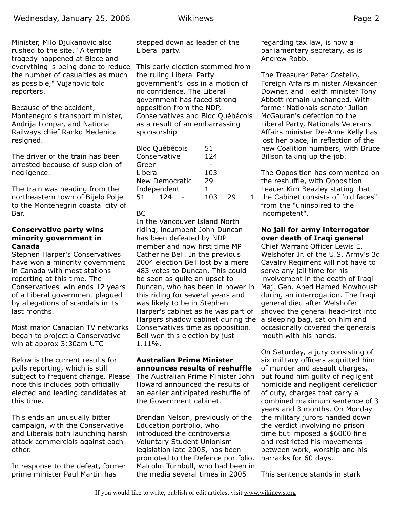Minister, Milo Djukanovic also rushed to the site. "A terrible tragedy happened at Bioce and everything is being done to reduce the number of casualties as much as possible," Vujanovic told reporters.

Because of the accident, Montenegro's transport minister, Andrija Lompar, and National Railways chief Ranko Medenica resigned.

The driver of the train has been arrested because of suspicion of negligence.

The train was heading from the northeastern town of Bijelo Polje to the Montenegrin coastal city of Bar.

#### **Conservative party wins minority government in Canada**

Stephen Harper's Conservatives have won a minority government in Canada with most stations reporting at this time. The Conservatives' win ends 12 years of a Liberal government plagued by allegations of scandals in its last months.

Most major Canadian TV networks began to project a Conservative win at approx 3:30am UTC

Below is the current results for polls reporting, which is still subject to frequent change. Please note this includes both officially elected and leading candidates at this time.

This ends an unusually bitter campaign, with the Conservative and Liberals both launching harsh attack commercials against each other.

In response to the defeat, former prime minister Paul Martin has

stepped down as leader of the Liberal party.

This early election stemmed from the ruling Liberal Party government's loss in a motion of no confidence. The Liberal government has faced strong opposition from the NDP, Conservatives and Bloc Québécois as a result of an embarrassing sponsorship

| <b>Bloc Québécois</b> | 51  |    |  |
|-----------------------|-----|----|--|
| Conservative          | 124 |    |  |
| Green                 |     |    |  |
| Liberal               | 103 |    |  |
| New Democratic        | 29  |    |  |
| Independent           | 1.  |    |  |
| 124<br>51.            | 103 | 29 |  |
|                       |     |    |  |

#### BC

In the Vancouver Island North riding, incumbent John Duncan has been defeated by NDP member and now first time MP Catherine Bell. In the previous 2004 election Bell lost by a mere 483 votes to Duncan. This could be seen as quite an upset to Duncan, who has been in power in this riding for several years and was likely to be in Stephen Harper's cabinet as he was part of Harpers shadow cabinet during the Conservatives time as opposition. Bell won this election by just 1.11%.

#### **Australian Prime Minister announces results of reshuffle** The Australian Prime Minister John

Howard announced the results of an earlier anticipated reshuffle of the Government cabinet.

Brendan Nelson, previously of the Education portfolio, who introduced the controversial Voluntary Student Unionism legislation late 2005, has been promoted to the Defence portfolio. Malcolm Turnbull, who had been in the media several times in 2005

regarding tax law, is now a parliamentary secretary, as is Andrew Robb.

The Treasurer Peter Costello, Foreign Affairs minister Alexander Downer, and Health minister Tony Abbott remain unchanged. With former Nationals senator Julian McGauran's defection to the Liberal Party, Nationals Veterans Affairs minister De-Anne Kelly has lost her place, in reflection of the new Coalition numbers, with Bruce Billson taking up the job.

The Opposition has commented on the reshuffle, with Opposition Leader Kim Beazley stating that

1 the Cabinet consists of "old faces" from the "uninspired to the incompetent".

## **No jail for army interrogator over death of Iraqi general**

Chief Warrant Officer Lewis E. Welshofer Jr. of the U.S. Army's 3d Cavalry Regiment will not have to serve any jail time for his involvement in the death of Iraqi Maj. Gen. Abed Hamed Mowhoush during an interrogation. The Iraqi general died after Welshofer shoved the general head-first into a sleeping bag, sat on him and occasionally covered the generals mouth with his hands.

On Saturday, a jury consisting of six military officers acquitted him of murder and assault charges, but found him guilty of negligent homicide and negligent dereliction of duty, charges that carry a combined maximum sentence of 3 years and 3 months. On Monday the military jurors handed down the verdict involving no prison time but imposed a \$6000 fine and restricted his movements between work, worship and his barracks for 60 days.

This sentence stands in stark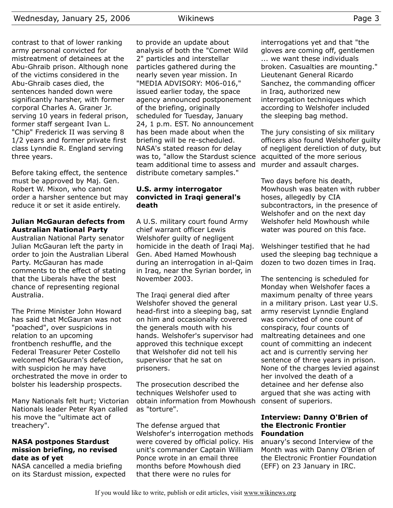contrast to that of lower ranking army personal convicted for mistreatment of detainees at the Abu-Ghraib prison. Although none of the victims considered in the Abu-Ghraib cases died, the sentences handed down were significantly harsher, with former corporal Charles A. Graner Jr. serving 10 years in federal prison, former staff sergeant Ivan L. "Chip" Frederick II was serving 8 1/2 years and former private first class Lynndie R. England serving three years.

Before taking effect, the sentence must be approved by Maj. Gen. Robert W. Mixon, who cannot order a harsher sentence but may reduce it or set it aside entirely.

#### **Julian McGauran defects from Australian National Party**

Australian National Party senator Julian McGauran left the party in order to join the Australian Liberal Party. McGauran has made comments to the effect of stating that the Liberals have the best chance of representing regional Australia.

The Prime Minister John Howard has said that McGauran was not "poached", over suspicions in relation to an upcoming frontbench reshuffle, and the Federal Treasurer Peter Costello welcomed McGauran's defection, with suspicion he may have orchestrated the move in order to bolster his leadership prospects.

Many Nationals felt hurt; Victorian Nationals leader Peter Ryan called his move the "ultimate act of treachery".

## **NASA postpones Stardust mission briefing, no revised date as of yet**

NASA cancelled a media briefing on its Stardust mission, expected to provide an update about analysis of both the "Comet Wild 2" particles and interstellar particles gathered during the nearly seven year mission. In "MEDIA ADVISORY: M06-016," issued earlier today, the space agency announced postponement of the briefing, originally scheduled for Tuesday, January 24, 1 p.m. EST. No announcement has been made about when the briefing will be re-scheduled. NASA's stated reason for delay was to, "allow the Stardust science team additional time to assess and distribute cometary samples."

## **U.S. army interrogator convicted in Iraqi general's death**

A U.S. military court found Army chief warrant officer Lewis Welshofer guilty of negligent homicide in the death of Iraqi Maj. Gen. Abed Hamed Mowhoush during an interrogation in al-Qaim in Iraq, near the Syrian border, in November 2003.

The Iraqi general died after Welshofer shoved the general head-first into a sleeping bag, sat on him and occasionally covered the generals mouth with his hands. Welshofer's supervisor had approved this technique except that Welshofer did not tell his supervisor that he sat on prisoners.

The prosecution described the techniques Welshofer used to obtain information from Mowhoush consent of superiors. as "torture".

The defense argued that Welshofer's interrogation methods were covered by official policy. His unit's commander Captain William Ponce wrote in an email three months before Mowhoush died that there were no rules for

interrogations yet and that "the gloves are coming off, gentlemen ... we want these individuals broken. Casualties are mounting." Lieutenant General Ricardo Sanchez, the commanding officer in Iraq, authorized new interrogation techniques which according to Welshofer included the sleeping bag method.

The jury consisting of six military officers also found Welshofer guilty of negligent dereliction of duty, but acquitted of the more serious murder and assault charges.

Two days before his death, Mowhoush was beaten with rubber hoses, allegedly by CIA subcontractors, in the presence of Welshofer and on the next day Welshofer held Mowhoush while water was poured on this face.

Welshinger testified that he had used the sleeping bag technique a dozen to two dozen times in Iraq.

The sentencing is scheduled for Monday when Welshofer faces a maximum penalty of three years in a military prison. Last year U.S. army reservist Lynndie England was convicted of one count of conspiracy, four counts of maltreating detainees and one count of committing an indecent act and is currently serving her sentence of three years in prison. None of the charges levied against her involved the death of a detainee and her defense also argued that she was acting with

## **Interview: Danny O'Brien of the Electronic Frontier Foundation**

anuary's second Interview of the Month was with Danny O'Brien of the Electronic Frontier Foundation (EFF) on 23 January in IRC.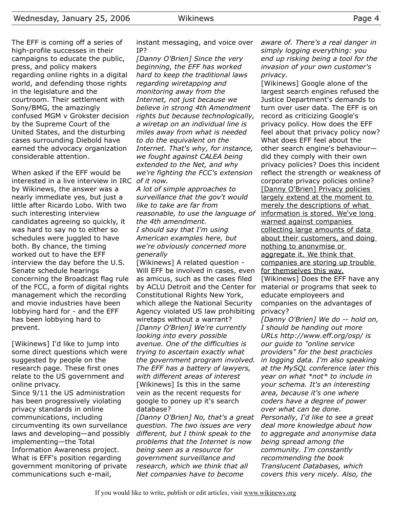The EFF is coming off a series of high-profile successes in their campaigns to educate the public, press, and policy makers regarding online rights in a digital world, and defending those rights in the legislature and the courtroom. Their settlement with Sony/BMG, the amazingly confused MGM v Grokster decision by the Supreme Court of the United States, and the disturbing cases surrounding Diebold have earned the advocacy organization considerable attention.

When asked if the EFF would be interested in a live interview in IRC *of it now.* by Wikinews, the answer was a nearly immediate yes, but just a little after Ricardo Lobo. With two such interesting interview candidates agreeing so quickly, it was hard to say no to either so schedules were juggled to have both. By chance, the timing worked out to have the EFF interview the day before the U.S. Senate schedule hearings concerning the Broadcast flag rule of the FCC, a form of digital rights management which the recording and movie industries have been lobbying hard for - and the EFF has been lobbying hard to prevent.

[Wikinews] I'd like to jump into some direct questions which were suggested by people on the research page. These first ones relate to the US government and online privacy.

Since 9/11 the US administration has been progressively violating privacy standards in online communications, including circumventing its own surveilance laws and developing—and possibly implementing—the Total Information Awareness project. What is EFF's position regarding government monitoring of private communications such e-mail,

instant messaging, and voice over IP?

*[Danny O'Brien] Since the very beginning, the EFF has worked hard to keep the traditional laws regarding wiretapping and monitoring away from the Internet, not just because we believe in strong 4th Amendment rights but because technologically, a wiretap on an individual line is miles away from what is needed to do the equivalent on the Internet. That's why, for instance, we fought against CALEA being extended to the Net, and why we're fighting the FCC's extension*

*A lot of simple approaches to surveillance that the gov't would like to take are far from reasonable, to use the language of the 4th amendment. I should say that I'm using American examples here, but we're obviously concerned more generally*

[Wikinews] A related question - Will EFF be involved in cases, even as amicus, such as the cases filed by ACLU Detroit and the Center for material or programs that seek to Constitutional Rights New York, which allege the National Security Agency violated US law prohibiting wiretaps without a warrant? *[Danny O'Brien] We're currently looking into every possible avenue. One of the difficulties is trying to ascertain exactly what the government program involved. The EFF has a battery of lawyers, with different areas of interest* [Wikinews] Is this in the same vein as the recent requests for google to poney up it's search database?

*[Danny O'Brien] No, that's a great question. The two issues are very different, but I think speak to the problems that the Internet is now being seen as a resource for government surveillance and research, which we think that all Net companies have to become*

*aware of. There's a real danger in simply logging everything: you end up risking being a tool for the invasion of your own customer's privacy.*

[Wikinews] Google alone of the largest search engines refused the Justice Department's demands to turn over user data. The EFF is on record as criticizing Google's privacy policy. How does the EFF feel about that privacy policy now? What does EFF feel about the other search engine's behaviour did they comply with their own privacy policies? Does this incident reflect the strength or weakness of corporate privacy policies online? [Danny O'Brien] Privacy policies largely extend at the moment to merely the descriptions of what information is stored. We've long warned against companies collecting large amounts of data about their customers, and doing nothing to anonymise or aggregate it. We think that companies are storing up trouble for themselves this way. [Wikinews] Does the EFF have any educate employeers and

companies on the advantages of privacy?

*[Danny O'Brien] We do -- hold on, I should be handing out more URLs http://www.eff.org/osp/ is our guide to "online service providers" for the best practicies in logging data. I'm also speaking at the MySQL conference later this year on what \*not\* to include in your schema. It's an interesting area, because it's one where coders have a degree of power over what can be done. Personally, I'd like to see a great deal more knowledge about how to aggregate and anonymise data being spread among the community. I'm constantly recommending the book Translucent Databases, which covers this very nicely. Also, the*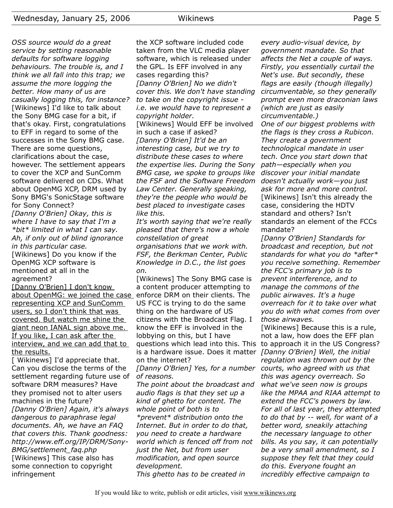successes in the Sony BMG case.

There are some questions, clarifications about the case, however. The settlement appears to cover the XCP and SunComm software delivered on CDs. What about OpenMG XCP, DRM used by Sony BMG's SonicStage software

for Sony Connect?

*in this particular case.*

mentioned at all in the

agreement?

*OSS source would do a great service by setting reasonable defaults for software logging behaviours. The trouble is, and I think we all fall into this trap; we assume the more logging the better. How many of us are casually logging this, for instance?* [Wikinews] I'd like to talk about the Sony BMG case for a bit, if that's okay. First, congratulations to EFF in regard to some of the the XCP software included code taken from the VLC media player software, which is released under the GPL. Is EFF involved in any cases regarding this? *[Danny O'Brien] No we didn't cover this. We don't have standing to take on the copyright issue i.e. we would have to represent a copyright holder.* [Wikinews] Would EFF be involved in such a case if asked?

*[Danny O'Brien] It'd be an interesting case, but we try to distribute these cases to where the expertise lies. During the Sony BMG case, we spoke to groups like the FSF and the Software Freedom Law Center. Generally speaking, they're the people who would be best placed to investigate cases like this.*

*It's worth saying that we're really pleased that there's now a whole constellation of great organisations that we work with. FSF, the Berkman Center, Public Knowledge in D.C., the list goes*

[Wikinews] The Sony BMG case is a content producer attempting to US FCC is trying to do the same thing on the hardware of US citizens with the Broadcast Flag. I know the EFF is involved in the lobbying on this, but I have questions which lead into this. This to approach it in the US Congress? is a hardware issue. Does it matter *[Danny O'Brien] Well, the initial* on the internet?

*[Danny O'Brien] Yes, for a number courts, who agreed with us that of reasons.*

*The point about the broadcast and audio flags is that they set up a kind of ghetto for content. The whole point of both is to \*prevent\* distribution onto the Internet. But in order to do that, you need to create a hardware world which is fenced off from not just the Net, but from user modification, and open source development. This ghetto has to be created in*

*every audio-visual device, by government mandate. So that affects the Net a couple of ways. Firstly, you essentially curtail the Net's use. But secondly, these flags are easily (though illegally) circumventable, so they generally prompt even more draconian laws (which are just as easily circumventable.)*

*One of our biggest problems with the flags is they cross a Rubicon. They create a government technological mandate in user tech. Once you start down that path—especially when you discover your initial mandate doesn't actually work—you just ask for more and more control.* [Wikinews] Isn't this already the case, considering the HDTV standard and others? Isn't standards an element of the FCCs mandate?

*[Danny O'Brien] Standards for broadcast and reception, but not standards for what you do \*after\* you receive something. Remember the FCC's primary job is to prevent interference, and to manage the commons of the public airwaves. It's a huge overreach for it to take over what you do with what comes from over those airwaves.*

[Wikinews] Because this is a rule, not a law, how does the EFF plan *regulation was thrown out by the this was agency overreach. So what we've seen now is groups like the MPAA and RIAA attempt to extend the FCC's powers by law. For all of last year, they attempted to do that by -- well, for want of a better word, sneakily attaching the necessary language to other bills. As you say, it can potentially be a very small amendment, so I suppose they felt that they could do this. Everyone fought an incredibly effective campaign to*

*[Danny O'Brien] Okay, this is where I have to say that I'm a \*bit\* limited in what I can say. Ah, if only out of blind ignorance* [Wikinews] Do you know if the OpenMG XCP software is *on.*

[Danny O'Brien] I don't know about OpenMG: we joined the case\_enforce DRM on their clients. The representing XCP and SunComm users, so I don't think that was covered. But watch me shine the giant neon IANAL sign above me. If you like, I can ask after the interview, and we can add that to the results.

[ Wikinews] I'd appreciate that. Can you disclose the terms of the settlement regarding future use of software DRM measures? Have they promised not to alter users machines in the future? *[Danny O'Brien] Again, it's always dangerous to paraphrase legal documents. Ah, we have an FAQ that covers this. Thank goodness: http://www.eff.org/IP/DRM/Sony-BMG/settlement\_faq.php* [Wikinews] This case also has some connection to copyright infringement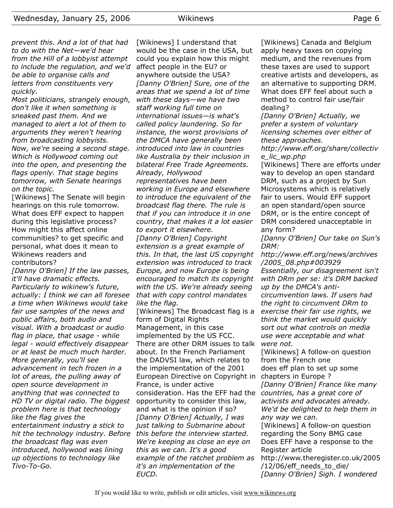*prevent this. And a lot of that had to do with the Net—we'd hear from the Hill of a lobbyist attempt to include the regulation, and we'd be able to organise calls and letters from constituents very quickly.*

*Most politicians, strangely enough, don't like it when something is sneaked past them. And we managed to alert a lot of them to arguments they weren't hearing from broadcasting lobbyists. Now, we're seeing a second stage. Which is Hollywood coming out into the open, and presenting the flags openly. That stage begins tomorrow, with Senate hearings on the topic.*

[Wikinews] The Senate will begin hearings on this rule tomorrow. What does EFF expect to happen during this legislative process? How might this affect online communities? to get specific and personal, what does it mean to Wikinews readers and contributors?

*[Danny O'Brien] If the law passes, it'll have dramatic effects. Particularly to wikinew's future, actually: I think we can all foresee a time when Wikinews would take fair use samples of the news and public affairs, both audio and visual. With a broadcast or audio flag in place, that usage - while legal - would effectively disappear or at least be much much harder. More generally, you'll see advancement in tech frozen in a lot of areas, the pulling away of open source development in anything that was connected to HD TV or digital radio. The biggest problem here is that technology like the flag gives the entertainment industry a stick to hit the technology industry. Before this before the interview started. the broadcast flag was even introduced, hollywood was lining up objections to technology like Tivo-To-Go.*

[Wikinews] I understand that would be the case in the USA, but could you explain how this might affect people in the EU? or anywhere outside the USA? *[Danny O'Brien] Sure, one of the areas that we spend a lot of time with these days—we have two staff working full time on international issues—is what's called policy laundering. So for instance, the worst provisions of the DMCA have generally been introduced into law in countries like Australia by their inclusion in bilateral Free Trade Agreements. Already, Hollywood representatives have been working in Europe and elsewhere to introduce the equivalent of the broadcast flag there. The rule is that if you can introduce it in one country, that makes it a lot easier to export it elsewhere. [Danny O'Brien] Copyright extension is a great example of this. In that, the last US copyright extension was introduced to track Europe, and now Europe is being encouraged to match its copyright with the US. We're already seeing that with copy control mandates like the flag.*

[Wikinews] The Broadcast flag is a form of Digital Rights Management, in this case implemented by the US FCC. There are other DRM issues to talk about. In the French Parliament the DADVSI law, which relates to the implementation of the 2001 European Directive on Copyright in France, is under active consideration. Has the EFF had the *countries, has a great core of* opportunity to consider this law, and what is the opinion if so? *[Danny O'Brien] Actually, I was just talking to Submarine about We're keeping as close an eye on this as we can. It's a good example of the ratchet problem as it's an implementation of the EUCD.*

[Wikinews] Canada and Belgium apply heavy taxes on copying medium, and the revenues from these taxes are used to support creative artists and developers, as an alternative to supporting DRM. What does EFF feel about such a method to control fair use/fair dealing?

*[Danny O'Brien] Actually, we prefer a system of voluntary licensing schemes over either of these approaches.*

*http://www.eff.org/share/collectiv e\_lic\_wp.php*

[Wikinews] There are efforts under way to develop an open standard DRM, such as a project by Sun Microsystems which is relatively fair to users. Would EFF support an open standard/open source DRM, or is the entire concept of DRM considered unacceptable in any form?

*[Danny O'Brien] Our take on Sun's DRM:*

*http://www.eff.org/news/archives /2005\_08.php#003929 Essentially, our disagreement isn't with DRm per se: it's DRM backed up by the DMCA's anti-*

*circumvention laws. If users had the right to circumvent DRm to exercise their fair use rights, we think the market would quickly sort out what controls on media use were acceptable and what were not.*

[Wikinews] A follow-on question from the French one does eff plan to set up some chapters in Europe ?

*[Danny O'Brien] France like many activists and advocates already. We'd be delighted to help them in any way we can.*

[Wikinews] A follow-on question regarding the Sony BMG case Does EFF have a response to the Register article

http://www.theregister.co.uk/2005 /12/06/eff needs to die/ *[Danny O'Brien] Sigh. I wondered*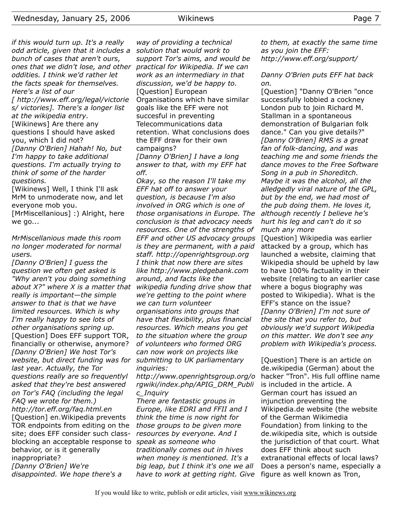*if this would turn up. It's a really odd article, given that it includes a bunch of cases that aren't ours, ones that we didn't lose, and other oddities. I think we'd rather let the facts speak for themselves. Here's a list of our*

*[ http://www.eff.org/legal/victorie s/ victories]. There's a longer list at the wikipedia entry.*

[Wikinews] Are there any questions I should have asked you, which I did not? *[Danny O'Brien] Hahah! No, but I'm happy to take additional questions. I'm actually trying to think of some of the harder questions.*

[Wikinews] Well, I think I'll ask MrM to unmoderate now, and let everyone mob you.

[MrMiscellanious] :) Alright, here we go...

## *MrMiscellanious made this room no longer moderated for normal users.*

*[Danny O'Brien] I guess the question we often get asked is "Why aren't you doing something about X?" where X is a matter that wikipedia funding drive show that really is important—the simple answer to that is that we have limited resources. Which is why I'm really happy to see lots of other organisations spring up.* [Question] Does EFF support TOR, financially or otherwise, anymore? *[Danny O'Brien] We host Tor's website, but direct funding was for submitting to UK parliamentary last year. Actually, the Tor questions really are so frequentlyl asked that they're best answered on Tor's FAQ (including the legal FAQ we wrote for them.) http://tor.eff.org/faq.html.en* [Question] en.Wikipedia prevents TOR endpoints from editing on the site; does EFF consider such classblocking an acceptable response to *speak as someone who* behavior, or is it generally inappropriate? *[Danny O'Brien] We're disappointed. We hope there's a*

*way of providing a technical solution that would work to support Tor's aims, and would be practical for Wikipedia. If we can work as an intermediary in that discussion, we'd be happy to.* [Question] European Organisations which have similar goals like the EFF were not succesful in preventing Telecommunications data retention. What conclusions does the EFF draw for their own campaigns?

*[Danny O'Brien] I have a long answer to that, with my EFF hat off.*

*Okay, so the reason I'll take my EFF hat off to answer your question, is because I'm also involved in ORG which is one of those organisations in Europe. The conclusion is that advocacy needs resources. One of the strengths of EFF and other US advocacy groups is they are permanent, with a paid staff. http://openrightsgroup.org I think that now there are sites like http://www.pledgebank.com around, and facts like the we're getting to the point where we can turn volunteer organisations into groups that have that flexibility, plus financial resources. Which means you get to the situation where the group of volunteers who formed ORG can now work on projects like inquiries:*

*http://www.openrightsgroup.org/o rgwiki/index.php/APIG\_DRM\_Publi c\_Inquiry*

*There are fantastic groups in Europe, like EDRI and FFII and I think the time is now right for those groups to be given more resources by everyone. And I traditionally comes out in hives when money is mentioned. It's a big leap, but I think it's one we all have to work at getting right. Give* *to them, at exactly the same time as you join the EFF: http://www.eff.org/support/*

## *Danny O'Brien puts EFF hat back on.*

[Question] "Danny O'Brien "once successfully lobbied a cockney London pub to join Richard M. Stallman in a spontaneous demonstration of Bulgarian folk dance." Can you give details?" *[Danny O'Brien] RMS is a great fan of folk-dancing, and was teaching me and some friends the dance moves to the Free Software Song in a pub in Shoreditch. Maybe it was the alcohol, all the alledgedly viral nature of the GPL, but by the end, we had most of the pub doing them. He loves it, although recently I believe he's hurt his leg and can't do it so much any more*

[Question] Wikipedia was earlier attacked by a group, which has launched a website, claiming that Wikipedia should be upheld by law to have 100% factuality in their website (relating to an earlier case where a bogus biography was posted to Wikipedia). What is the EFF's stance on the issue? *[Danny O'Brien] I'm not sure of the site that you refer to, but obviously we'd support Wikipedia on this matter. We don't see any problem with Wikipedia's process.*

[Question] There is an article on de.wikipedia (German) about the hacker "Tron". His full offline name is included in the article. A German court has issued an injunction preventing the Wikipedia.de website (the website of the German Wikimedia Foundation) from linking to the de.wikipedia site, which is outside the jurisdiction of that court. What does EFF think about such extranational effects of local laws? Does a person's name, especially a figure as well known as Tron,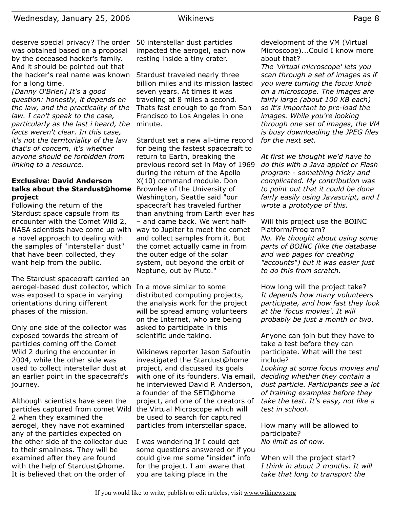deserve special privacy? The order was obtained based on a proposal by the deceased hacker's family. And it should be pointed out that the hacker's real name was known for a long time.

*[Danny O'Brien] It's a good question: honestly, it depends on the law, and the practicality of the law. I can't speak to the case, particularly as the last i heard, the* minute. *facts weren't clear. In this case, it's not the territoriality of the law that's of concern, it's whether anyone should be forbidden from linking to a resource.*

## **Exclusive: David Anderson talks about the Stardust@home** Brownlee of the University of **project**

Following the return of the Stardust space capsule from its encounter with the Comet Wild 2, NASA scientists have come up with way to Jupiter to meet the comet a novel approach to dealing with the samples of "interstellar dust" that have been collected, they want help from the public.

The Stardust spacecraft carried an aerogel-based dust collector, which In a move similar to some was exposed to space in varying orientations during different phases of the mission.

Only one side of the collector was exposed towards the stream of particles coming off the Comet Wild 2 during the encounter in 2004, while the other side was used to collect interstellar dust at an earlier point in the spacecraft's journey.

Although scientists have seen the particles captured from comet Wild the Virtual Microscope which will 2 when they examined the aerogel, they have not examined any of the particles expected on the other side of the collector due to their smallness. They will be examined after they are found with the help of Stardust@home. It is believed that on the order of

50 interstellar dust particles impacted the aerogel, each now resting inside a tiny crater.

Stardust traveled nearly three billion miles and its mission lasted seven years. At times it was traveling at 8 miles a second. Thats fast enough to go from San Francisco to Los Angeles in one

Stardust set a new all-time record for being the fastest spacecraft to return to Earth, breaking the previous record set in May of 1969 during the return of the Apollo X(10) command module. Don Washington, Seattle said "our spacecraft has traveled further than anything from Earth ever has – and came back. We went halfand collect samples from it. But the comet actually came in from the outer edge of the solar system, out beyond the orbit of Neptune, out by Pluto."

distributed computing projects, the analysis work for the project will be spread among volunteers on the Internet, who are being asked to participate in this scientific undertaking.

Wikinews reporter Jason Safoutin investigated the Stardust@home project, and discussed its goals with one of its founders. Via email, he interviewed David P. Anderson, a founder of the SETI@home project, and one of the creators of be used to search for captured particles from interstellar space.

I was wondering If I could get some questions answered or if you could give me some "insider" info for the project. I am aware that you are taking place in the

development of the VM (Virtual Microscope)...Could I know more about that?

*The 'virtual microscope' lets you scan through a set of images as if you were turning the focus knob on a microscope. The images are fairly large (about 100 KB each) so it's important to pre-load the images. While you're looking through one set of images, the VM is busy downloading the JPEG files for the next set.*

*At first we thought we'd have to do this with a Java applet or Flash program - something tricky and complicated. My contribution was to point out that it could be done fairly easily using Javascript, and I wrote a prototype of this.*

Will this project use the BOINC Platform/Program? *No. We thought about using some parts of BOINC (like the database and web pages for creating "accounts") but it was easier just to do this from scratch.*

How long will the project take? *It depends how many volunteers participate, and how fast they look at the 'focus movies'. It will probably be just a month or two.*

Anyone can join but they have to take a test before they can participate. What will the test include?

*Looking at some focus movies and deciding whether they contain a dust particle. Participants see a lot of training examples before they take the test. It's easy, not like a test in school.*

How many will be allowed to participate? *No limit as of now.*

When will the project start? *I think in about 2 months. It will take that long to transport the*